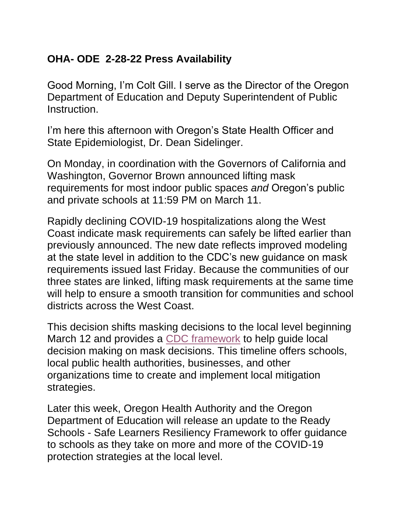## **OHA- ODE 2-28-22 Press Availability**

Good Morning, I'm Colt Gill. I serve as the Director of the Oregon Department of Education and Deputy Superintendent of Public **Instruction** 

I'm here this afternoon with Oregon's State Health Officer and State Epidemiologist, Dr. Dean Sidelinger.

On Monday, in coordination with the Governors of California and Washington, Governor Brown announced lifting mask requirements for most indoor public spaces *and* Oregon's public and private schools at 11:59 PM on March 11.

Rapidly declining COVID-19 hospitalizations along the West Coast indicate mask requirements can safely be lifted earlier than previously announced. The new date reflects improved modeling at the state level in addition to the CDC's new guidance on mask requirements issued last Friday. Because the communities of our three states are linked, lifting mask requirements at the same time will help to ensure a smooth transition for communities and school districts across the West Coast.

This decision shifts masking decisions to the local level beginning March 12 and provides a [CDC framework](https://gcc02.safelinks.protection.outlook.com/?url=https%3A%2F%2Fwww.cdc.gov%2Fcoronavirus%2F2019-ncov%2Fscience%2Fcommunity-levels.html%23anchor_47145&data=04%7C01%7CTimothy.Heider%40dhsoha.state.or.us%7C973ad7b5842044c9ae0808d9faf085c5%7C658e63e88d39499c8f4813adc9452f4c%7C0%7C0%7C637816733219483741%7CUnknown%7CTWFpbGZsb3d8eyJWIjoiMC4wLjAwMDAiLCJQIjoiV2luMzIiLCJBTiI6Ik1haWwiLCJXVCI6Mn0%3D%7C1000&sdata=nTPixayQoCak4Ji2VsMvS0zH7kPp8kBZlDiFRnn6%2FFg%3D&reserved=0) to help guide local decision making on mask decisions. This timeline offers schools, local public health authorities, businesses, and other organizations time to create and implement local mitigation strategies.

Later this week, Oregon Health Authority and the Oregon Department of Education will release an update to the Ready Schools - Safe Learners Resiliency Framework to offer guidance to schools as they take on more and more of the COVID-19 protection strategies at the local level.